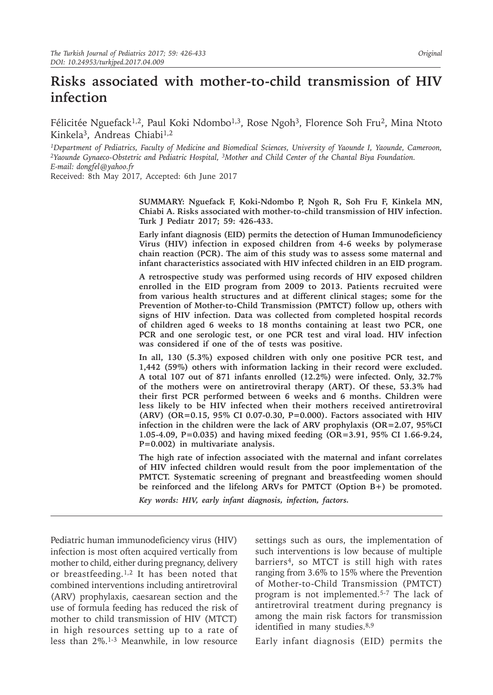# **Risks associated with mother-to-child transmission of HIV infection**

Félicitée Nguefack<sup>1,2</sup>, Paul Koki Ndombo<sup>1,3</sup>, Rose Ngoh<sup>3</sup>, Florence Soh Fru<sup>2</sup>, Mina Ntoto Kinkela<sup>3</sup>, Andreas Chiabi<sup>1,2</sup>

*1Department of Pediatrics, Faculty of Medicine and Biomedical Sciences, University of Yaounde I, Yaounde, Cameroon, 2Yaounde Gynaeco-Obstetric and Pediatric Hospital, 3Mother and Child Center of the Chantal Biya Foundation. E-mail: dongfel@yahoo.fr* Received: 8th May 2017, Accepted: 6th June 2017

> **SUMMARY: Nguefack F, Koki-Ndombo P, Ngoh R, Soh Fru F, Kinkela MN, Chiabi A. Risks associated with mother-to-child transmission of HIV infection. Turk J Pediatr 2017; 59: 426-433.**

> **Early infant diagnosis (EID) permits the detection of Human Immunodeficiency Virus (HIV) infection in exposed children from 4-6 weeks by polymerase chain reaction (PCR). The aim of this study was to assess some maternal and infant characteristics associated with HIV infected children in an EID program.**

> **A retrospective study was performed using records of HIV exposed children enrolled in the EID program from 2009 to 2013. Patients recruited were from various health structures and at different clinical stages; some for the Prevention of Mother-to-Child Transmission (PMTCT) follow up, others with signs of HIV infection. Data was collected from completed hospital records of children aged 6 weeks to 18 months containing at least two PCR, one PCR and one serologic test, or one PCR test and viral load. HIV infection was considered if one of the of tests was positive.**

> **In all, 130 (5.3%) exposed children with only one positive PCR test, and 1,442 (59%) others with information lacking in their record were excluded. A total 107 out of 871 infants enrolled (12.2%) were infected. Only, 32.7% of the mothers were on antiretroviral therapy (ART). Of these, 53.3% had their first PCR performed between 6 weeks and 6 months. Children were less likely to be HIV infected when their mothers received antiretroviral (ARV) (OR=0.15, 95% CI 0.07-0.30, P=0.000). Factors associated with HIV infection in the children were the lack of ARV prophylaxis (OR=2.07, 95%CI 1.05-4.09, P=0.035) and having mixed feeding (OR=3.91, 95% CI 1.66-9.24, P=0.002) in multivariate analysis.**

> **The high rate of infection associated with the maternal and infant correlates of HIV infected children would result from the poor implementation of the PMTCT. Systematic screening of pregnant and breastfeeding women should be reinforced and the lifelong ARVs for PMTCT (Option B+) be promoted.**

*Key words: HIV, early infant diagnosis, infection, factors.*

Pediatric human immunodeficiency virus (HIV) infection is most often acquired vertically from mother to child, either during pregnancy, delivery or breastfeeding.<sup>1,2</sup> It has been noted that combined interventions including antiretroviral (ARV) prophylaxis, caesarean section and the use of formula feeding has reduced the risk of mother to child transmission of HIV (MTCT) in high resources setting up to a rate of less than 2%.1-3 Meanwhile, in low resource

settings such as ours, the implementation of such interventions is low because of multiple barriers<sup>4</sup>, so MTCT is still high with rates ranging from 3.6% to 15% where the Prevention of Mother-to-Child Transmission (PMTCT) program is not implemented.5-7 The lack of antiretroviral treatment during pregnancy is among the main risk factors for transmission identified in many studies.<sup>8,9</sup>

Early infant diagnosis (EID) permits the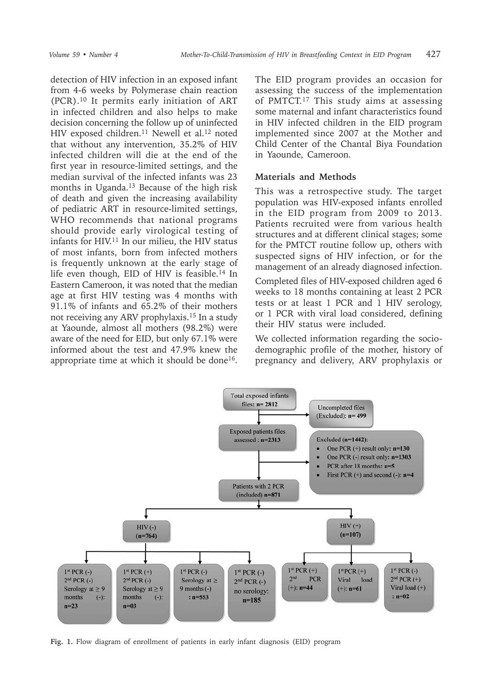detection of HIV infection in an exposed infant from 4-6 weeks by Polymerase chain reaction (PCR).10 It permits early initiation of ART in infected children and also helps to make decision concerning the follow up of uninfected HIV exposed children.<sup>11</sup> Newell et al.<sup>12</sup> noted that without any intervention, 35.2% of HIV infected children will die at the end of the first year in resource-limited settings, and the median survival of the infected infants was 23 months in Uganda.13 Because of the high risk of death and given the increasing availability of pediatric ART in resource-limited settings, WHO recommends that national programs should provide early virological testing of infants for HIV.11 In our milieu, the HIV status of most infants, born from infected mothers is frequently unknown at the early stage of life even though, EID of HIV is feasible.<sup>14</sup> In Eastern Cameroon, it was noted that the median age at first HIV testing was 4 months with 91.1% of infants and 65.2% of their mothers not receiving any ARV prophylaxis.15 In a study at Yaounde, almost all mothers (98.2%) were aware of the need for EID, but only 67.1% were informed about the test and 47.9% knew the appropriate time at which it should be done<sup>16</sup>.

The EID program provides an occasion for assessing the success of the implementation of PMTCT.17 This study aims at assessing some maternal and infant characteristics found in HIV infected children in the EID program implemented since 2007 at the Mother and Child Center of the Chantal Biya Foundation in Yaounde, Cameroon.

### **Materials and Methods**

This was a retrospective study. The target population was HIV-exposed infants enrolled in the EID program from 2009 to 2013. Patients recruited were from various health structures and at different clinical stages; some for the PMTCT routine follow up, others with suspected signs of HIV infection, or for the management of an already diagnosed infection.

Completed files of HIV-exposed children aged 6 weeks to 18 months containing at least 2 PCR tests or at least 1 PCR and 1 HIV serology, or 1 PCR with viral load considered, defining their HIV status were included.

We collected information regarding the sociodemographic profile of the mother, history of pregnancy and delivery, ARV prophylaxis or



**Fig. 1.** Flow diagram of enrollment of patients in early infant diagnosis (EID) program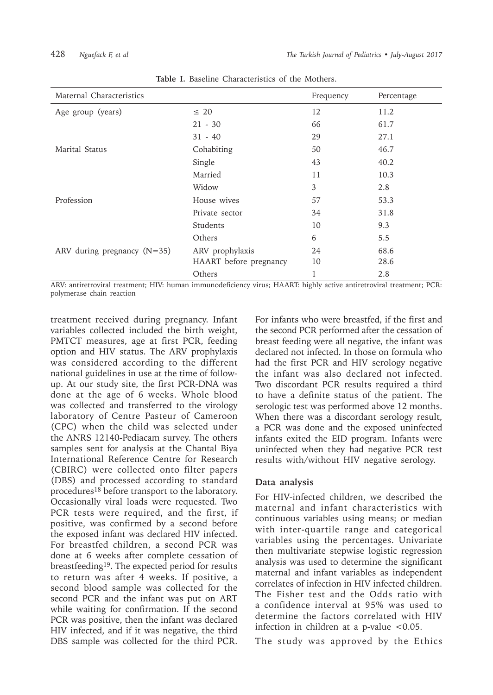| Maternal Characteristics      |                        | Frequency | Percentage |
|-------------------------------|------------------------|-----------|------------|
| Age group (years)             | $\leq 20$              | 12        | 11.2       |
|                               | $21 - 30$              | 66        | 61.7       |
|                               | $31 - 40$              | 29        | 27.1       |
| Marital Status                | Cohabiting             | 50        | 46.7       |
|                               | Single                 | 43        | 40.2       |
|                               | Married                | 11        | 10.3       |
|                               | Widow                  | 3         | 2.8        |
| Profession                    | House wives            | 57        | 53.3       |
|                               | Private sector         | 34        | 31.8       |
|                               | Students               | 10        | 9.3        |
|                               | Others                 | 6         | 5.5        |
| ARV during pregnancy $(N=35)$ | ARV prophylaxis        | 24        | 68.6       |
|                               | HAART before pregnancy | 10        | 28.6       |
|                               | Others                 | 1         | 2.8        |

**Table I.** Baseline Characteristics of the Mothers.

ARV: antiretroviral treatment; HIV: human immunodeficiency virus; HAART: highly active antiretroviral treatment; PCR: polymerase chain reaction

treatment received during pregnancy. Infant variables collected included the birth weight, PMTCT measures, age at first PCR, feeding option and HIV status. The ARV prophylaxis was considered according to the different national guidelines in use at the time of followup. At our study site, the first PCR-DNA was done at the age of 6 weeks. Whole blood was collected and transferred to the virology laboratory of Centre Pasteur of Cameroon (CPC) when the child was selected under the ANRS 12140-Pediacam survey. The others samples sent for analysis at the Chantal Biya International Reference Centre for Research (CBIRC) were collected onto filter papers (DBS) and processed according to standard procedures<sup>18</sup> before transport to the laboratory. Occasionally viral loads were requested. Two PCR tests were required, and the first, if positive, was confirmed by a second before the exposed infant was declared HIV infected. For breastfed children, a second PCR was done at 6 weeks after complete cessation of breastfeeding<sup>19</sup>. The expected period for results to return was after 4 weeks. If positive, a second blood sample was collected for the second PCR and the infant was put on ART while waiting for confirmation. If the second PCR was positive, then the infant was declared HIV infected, and if it was negative, the third DBS sample was collected for the third PCR.

For infants who were breastfed, if the first and the second PCR performed after the cessation of breast feeding were all negative, the infant was declared not infected. In those on formula who had the first PCR and HIV serology negative the infant was also declared not infected. Two discordant PCR results required a third to have a definite status of the patient. The serologic test was performed above 12 months. When there was a discordant serology result, a PCR was done and the exposed uninfected infants exited the EID program. Infants were uninfected when they had negative PCR test results with/without HIV negative serology.

# **Data analysis**

For HIV-infected children, we described the maternal and infant characteristics with continuous variables using means; or median with inter-quartile range and categorical variables using the percentages. Univariate then multivariate stepwise logistic regression analysis was used to determine the significant maternal and infant variables as independent correlates of infection in HIV infected children. The Fisher test and the Odds ratio with a confidence interval at 95% was used to determine the factors correlated with HIV infection in children at a p-value  $< 0.05$ .

The study was approved by the Ethics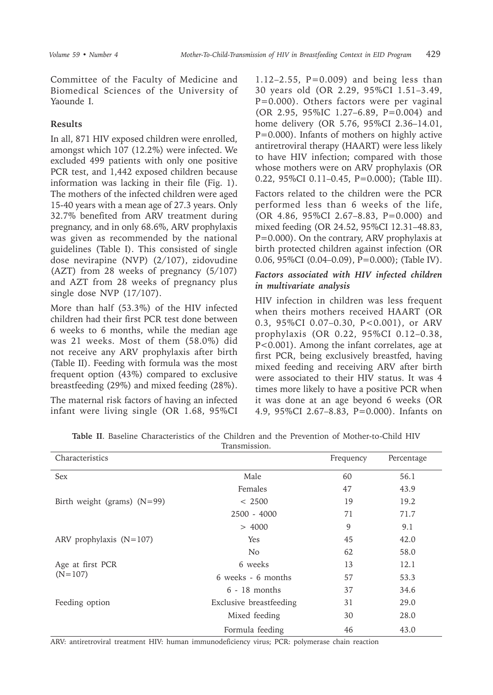Committee of the Faculty of Medicine and Biomedical Sciences of the University of Yaounde I.

# **Results**

In all, 871 HIV exposed children were enrolled, amongst which 107 (12.2%) were infected. We excluded 499 patients with only one positive PCR test, and 1,442 exposed children because information was lacking in their file (Fig. 1). The mothers of the infected children were aged 15-40 years with a mean age of 27.3 years. Only 32.7% benefited from ARV treatment during pregnancy, and in only 68.6%, ARV prophylaxis was given as recommended by the national guidelines (Table I). This consisted of single dose nevirapine (NVP) (2/107), zidovudine (AZT) from 28 weeks of pregnancy (5/107) and AZT from 28 weeks of pregnancy plus single dose NVP (17/107).

More than half (53.3%) of the HIV infected children had their first PCR test done between 6 weeks to 6 months, while the median age was 21 weeks. Most of them (58.0%) did not receive any ARV prophylaxis after birth (Table II). Feeding with formula was the most frequent option (43%) compared to exclusive breastfeeding (29%) and mixed feeding (28%).

The maternal risk factors of having an infected infant were living single (OR 1.68, 95%CI

1.12–2.55,  $P=0.009$  and being less than 30 years old (OR 2.29, 95%CI 1.51–3.49, P=0.000). Others factors were per vaginal (OR 2.95, 95%IC 1.27–6.89, P=0.004) and home delivery (OR 5.76, 95%CI 2.36–14.01, P=0.000). Infants of mothers on highly active antiretroviral therapy (HAART) were less likely to have HIV infection; compared with those whose mothers were on ARV prophylaxis (OR 0.22, 95%CI 0.11–0.45, P=0.000); (Table III).

Factors related to the children were the PCR performed less than 6 weeks of the life, (OR 4.86, 95%CI 2.67–8.83, P=0.000) and mixed feeding (OR 24.52, 95%CI 12.31–48.83, P=0.000). On the contrary, ARV prophylaxis at birth protected children against infection (OR 0.06, 95%CI (0.04–0.09), P=0.000); (Table IV).

# *Factors associated with HIV infected children in multivariate analysis*

HIV infection in children was less frequent when theirs mothers received HAART (OR 0.3, 95%CI 0.07–0.30, P<0.001), or ARV prophylaxis (OR 0.22, 95%CI 0.12–0.38, P<0.001). Among the infant correlates, age at first PCR, being exclusively breastfed, having mixed feeding and receiving ARV after birth were associated to their HIV status. It was 4 times more likely to have a positive PCR when it was done at an age beyond 6 weeks (OR 4.9, 95%CI 2.67–8.83, P=0.000). Infants on

| Characteristics               |                         | Frequency | Percentage |
|-------------------------------|-------------------------|-----------|------------|
| Sex                           | Male                    | 60        | 56.1       |
|                               | Females                 | 47        | 43.9       |
| Birth weight (grams) $(N=99)$ | < 2500                  | 19        | 19.2       |
|                               | $2500 - 4000$           | 71        | 71.7       |
|                               | > 4000                  | 9         | 9.1        |
| ARV prophylaxis $(N=107)$     | <b>Yes</b>              | 45        | 42.0       |
|                               | <b>No</b>               | 62        | 58.0       |
| Age at first PCR              | 6 weeks                 | 13        | 12.1       |
| $(N=107)$                     | 6 weeks - 6 months      | 57        | 53.3       |
|                               | $6 - 18$ months         | 37        | 34.6       |
| Feeding option                | Exclusive breastfeeding | 31        | 29.0       |
|                               | Mixed feeding           | 30        | 28.0       |
|                               | Formula feeding         | 46        | 43.0       |

**Table II**. Baseline Characteristics of the Children and the Prevention of Mother-to-Child HIV Transmission.

ARV: antiretroviral treatment HIV: human immunodeficiency virus; PCR: polymerase chain reaction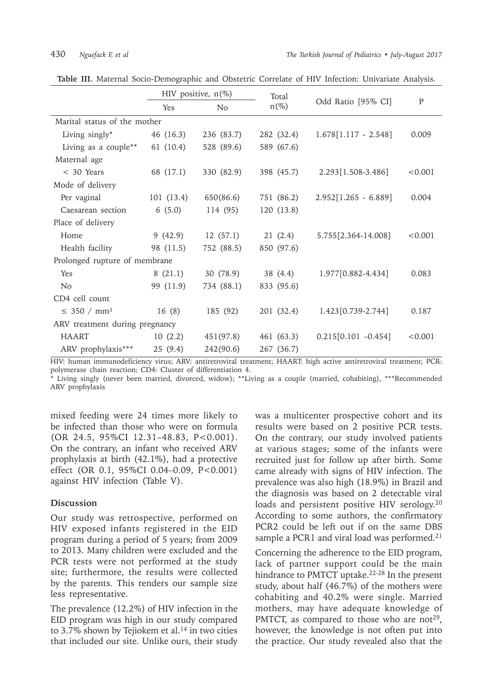|                                | HIV positive, $n(\%)$ |                | Total      |                        |         |
|--------------------------------|-----------------------|----------------|------------|------------------------|---------|
|                                | Yes                   | N <sub>o</sub> | $n(\%)$    | Odd Ratio [95% CI]     | P       |
| Marital status of the mother   |                       |                |            |                        |         |
| Living singly*                 | 46 (16.3)             | 236 (83.7)     | 282 (32.4) | $1.678[1.117 - 2.548]$ | 0.009   |
| Living as a couple**           | 61 (10.4)             | 528 (89.6)     | 589 (67.6) |                        |         |
| Maternal age                   |                       |                |            |                        |         |
| $<$ 30 Years                   | 68 (17.1)             | 330 (82.9)     | 398 (45.7) | 2.293 [1.508-3.486]    | < 0.001 |
| Mode of delivery               |                       |                |            |                        |         |
| Per vaginal                    | 101(13.4)             | 650(86.6)      | 751 (86.2) | $2.952[1.265 - 6.889]$ | 0.004   |
| Caesarean section              | 6(5.0)                | 114 (95)       | 120 (13.8) |                        |         |
| Place of delivery              |                       |                |            |                        |         |
| Home                           | 9(42.9)               | 12(57.1)       | 21(2.4)    | 5.755 [2.364-14.008]   | < 0.001 |
| Health facility                | 98 (11.5)             | 752 (88.5)     | 850 (97.6) |                        |         |
| Prolonged rupture of membrane  |                       |                |            |                        |         |
| Yes                            | 8(21.1)               | 30 (78.9)      | 38 (4.4)   | 1.977[0.882-4.434]     | 0.083   |
| N <sub>o</sub>                 | 99 (11.9)             | 734 (88.1)     | 833 (95.6) |                        |         |
| CD4 cell count                 |                       |                |            |                        |         |
| $\leq$ 350 / mm <sup>3</sup>   | 16(8)                 | 185 (92)       | 201 (32.4) | 1.423[0.739-2.744]     | 0.187   |
| ARV treatment during pregnancy |                       |                |            |                        |         |
| <b>HAART</b>                   | 10(2.2)               | 451 (97.8)     | 461 (63.3) | $0.215[0.101 -0.454]$  | < 0.001 |
| ARV prophylaxis***             | 25 (9.4)              | 242(90.6)      | 267 (36.7) |                        |         |

**Table III.** Maternal Socio-Demographic and Obstetric Correlate of HIV Infection: Univariate Analysis.

HIV: human immunodeficiency virus; ARV: antiretroviral treatment; HAART: high active antiretroviral treatment; PCR: polymerase chain reaction; CD4: Cluster of differentiation 4.

\* Living singly (never been married, divorced, widow); \*\*Living as a couple (married, cohabiting), \*\*\*Recommended ARV prophylaxis

mixed feeding were 24 times more likely to be infected than those who were on formula (OR 24.5, 95%CI 12.31–48.83, P<0.001). On the contrary, an infant who received ARV prophylaxis at birth (42.1%), had a protective effect (OR 0.1, 95%CI 0.04–0.09, P<0.001) against HIV infection (Table V).

# **Discussion**

Our study was retrospective, performed on HIV exposed infants registered in the EID program during a period of 5 years; from 2009 to 2013. Many children were excluded and the PCR tests were not performed at the study site; furthermore, the results were collected by the parents. This renders our sample size less representative.

The prevalence (12.2%) of HIV infection in the EID program was high in our study compared to  $3.7\%$  shown by Tejiokem et al.<sup>14</sup> in two cities that included our site. Unlike ours, their study

was a multicenter prospective cohort and its results were based on 2 positive PCR tests. On the contrary, our study involved patients at various stages; some of the infants were recruited just for follow up after birth. Some came already with signs of HIV infection. The prevalence was also high (18.9%) in Brazil and the diagnosis was based on 2 detectable viral loads and persistent positive HIV serology.20 According to some authors, the confirmatory PCR2 could be left out if on the same DBS sample a PCR1 and viral load was performed.<sup>21</sup>

Concerning the adherence to the EID program, lack of partner support could be the main hindrance to PMTCT uptake.<sup>22-28</sup> In the present study, about half (46.7%) of the mothers were cohabiting and 40.2% were single. Married mothers, may have adequate knowledge of PMTCT, as compared to those who are not<sup>29</sup>, however, the knowledge is not often put into the practice. Our study revealed also that the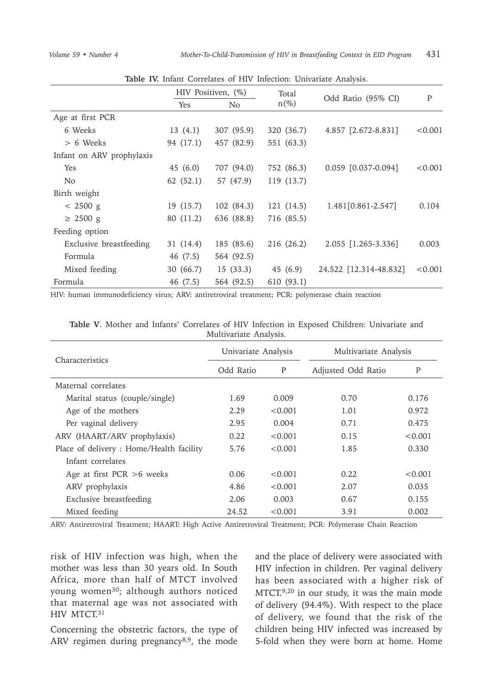|                           | HIV Positiven, (%) |                | Total      |                         |         |
|---------------------------|--------------------|----------------|------------|-------------------------|---------|
|                           | Yes                | N <sub>0</sub> | $n(\%)$    | Odd Ratio (95% CI)      | P       |
| Age at first PCR          |                    |                |            |                         |         |
| 6 Weeks                   | 13(4.1)            | 307 (95.9)     | 320 (36.7) | 4.857 [2.672-8.831]     | < 0.001 |
| > 6 Weeks                 | 94 (17.1)          | 457 (82.9)     | 551 (63.3) |                         |         |
| Infant on ARV prophylaxis |                    |                |            |                         |         |
| <b>Yes</b>                | 45 (6.0)           | 707 (94.0)     | 752 (86.3) | $0.059$ $[0.037-0.094]$ | < 0.001 |
| No.                       | 62(52.1)           | 57 (47.9)      | 119 (13.7) |                         |         |
| Birth weight              |                    |                |            |                         |         |
| $< 2500 \text{ g}$        | 19 (15.7)          | 102(84.3)      | 121 (14.5) | 1.481 [0.861-2.547]     | 0.104   |
| $\geq$ 2500 g             | 80 (11.2)          | 636 (88.8)     | 716 (85.5) |                         |         |
| Feeding option            |                    |                |            |                         |         |
| Exclusive breastfeeding   | 31 (14.4)          | 185 (85.6)     | 216 (26.2) | 2.055 [1.265-3.336]     | 0.003   |
| Formula                   | 46 (7.5)           | 564 (92.5)     |            |                         |         |
| Mixed feeding             | 30 (66.7)          | 15(33.3)       | 45 (6.9)   | 24.522 [12.314-48.832]  | < 0.001 |
| Formula                   | 46 (7.5)           | 564 (92.5)     | 610 (93.1) |                         |         |

**Table IV.** Infant Correlates of HIV Infection: Univariate Analysis.

HIV: human immunodeficiency virus; ARV: antiretroviral treatment; PCR: polymerase chain reaction

| Characteristics                          | Univariate Analysis |         | Multivariate Analysis |         |
|------------------------------------------|---------------------|---------|-----------------------|---------|
|                                          | Odd Ratio           | P       | Adjusted Odd Ratio    | P       |
| Maternal correlates                      |                     |         |                       |         |
| Marital status (couple/single)           | 1.69                | 0.009   | 0.70                  | 0.176   |
| Age of the mothers                       | 2.29                | < 0.001 | 1.01                  | 0.972   |
| Per vaginal delivery                     | 2.95                | 0.004   | 0.71                  | 0.475   |
| ARV (HAART/ARV prophylaxis)              | 0.22                | < 0.001 | 0.15                  | < 0.001 |
| Place of delivery : Home/Health facility | 5.76                | < 0.001 | 1.85                  | 0.330   |
| Infant correlates                        |                     |         |                       |         |
| Age at first $PCR > 6$ weeks             | 0.06                | < 0.001 | 0.22.                 | < 0.001 |
| ARV prophylaxis                          | 4.86                | < 0.001 | 2.07                  | 0.035   |
| Exclusive breastfeeding                  | 2.06                | 0.003   | 0.67                  | 0.155   |
| Mixed feeding                            | 24.52               | < 0.001 | 3.91                  | 0.002   |

**Table V**. Mother and Infants' Correlates of HIV Infection in Exposed Children: Univariate and Multivariate Analysis.

ARV: Antiretroviral Treatment; HAART: High Active Antiretroviral Treatment; PCR: Polymerase Chain Reaction

risk of HIV infection was high, when the mother was less than 30 years old. In South Africa, more than half of MTCT involved young women<sup>30</sup>; although authors noticed that maternal age was not associated with HIV MTCT.31

Concerning the obstetric factors, the type of ARV regimen during pregnancy $8,9$ , the mode

and the place of delivery were associated with HIV infection in children. Per vaginal delivery has been associated with a higher risk of MTCT.9,20 in our study, it was the main mode of delivery (94.4%). With respect to the place of delivery, we found that the risk of the children being HIV infected was increased by 5-fold when they were born at home. Home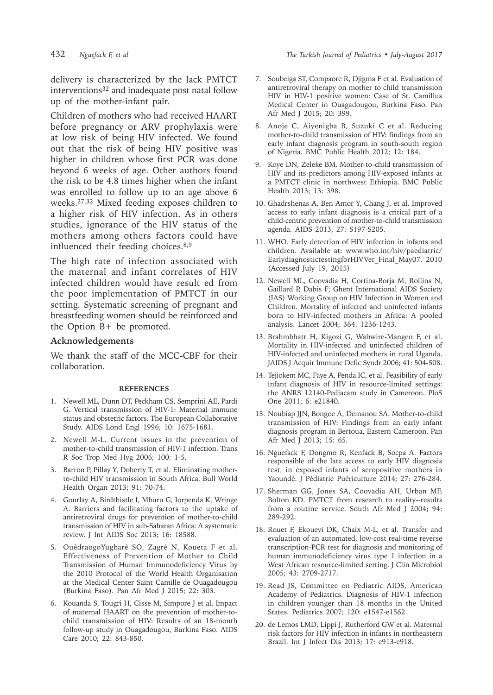delivery is characterized by the lack PMTCT interventions<sup>32</sup> and inadequate post natal follow up of the mother-infant pair.

Children of mothers who had received HAART before pregnancy or ARV prophylaxis were at low risk of being HIV infected. We found out that the risk of being HIV positive was higher in children whose first PCR was done beyond 6 weeks of age. Other authors found the risk to be 4.8 times higher when the infant was enrolled to follow up to an age above 6 weeks.27,32 Mixed feeding exposes children to a higher risk of HIV infection. As in others studies, ignorance of the HIV status of the mothers among others factors could have influenced their feeding choices.8,9

The high rate of infection associated with the maternal and infant correlates of HIV infected children would have result ed from the poor implementation of PMTCT in our setting. Systematic screening of pregnant and breastfeeding women should be reinforced and the Option B+ be promoted.

#### **Acknowledgements**

We thank the staff of the MCC-CBF for their collaboration.

#### **REFERENCES**

- 1. Newell ML, Dunn DT, Peckham CS, Semprini AE, Pardi G. Vertical transmission of HIV-1: Maternal immune status and obstetric factors. The European Collaborative Study. AIDS Lond Engl 1996; 10: 1675‑1681.
- 2. Newell M-L. Current issues in the prevention of mother-to-child transmission of HIV-1 infection. Trans R Soc Trop Med Hyg 2006; 100: 1‑5.
- 3. Barron P, Pillay Y, Doherty T, et al. Eliminating motherto-child HIV transmission in South Africa. Bull World Health Organ 2013; 91: 70‑74.
- 4. Gourlay A, Birdthistle I, Mburu G, Iorpenda K, Wringe A. Barriers and facilitating factors to the uptake of antiretroviral drugs for prevention of mother-to-child transmission of HIV in sub-Saharan Africa: A systematic review. J Int AIDS Soc 2013; 16: 18588.
- 5. OuédraogoYugbaré SO, Zagré N, Koueta F et al. Effectiveness of Prevention of Mother to Child Transmission of Human Immunodeficiency Virus by the 2010 Protocol of the World Health Organisation at the Medical Center Saint Camille de Ouagadougou (Burkina Faso). Pan Afr Med J 2015; 22: 303.
- 6. Kouanda S, Tougri H, Cisse M, Simpore J et al. Impact of maternal HAART on the prevention of mother-tochild transmission of HIV: Results of an 18-month follow-up study in Ouagadougou, Burkina Faso. AIDS Care 2010; 22: 843‑850.
- 7. Soubeiga ST, Compaore R, Djigma F et al. Evaluation of antiretroviral therapy on mother to child transmission HIV in HIV-1 positive women: Case of St. Camillus Medical Center in Ouagadougou, Burkina Faso. Pan Afr Med J 2015; 20: 399.
- 8. Anoje C, Aiyenigba B, Suzuki C et al. Reducing mother-to-child transmission of HIV: findings from an early infant diagnosis program in south-south region of Nigeria. BMC Public Health 2012; 12: 184.
- 9. Koye DN, Zeleke BM. Mother-to-child transmission of HIV and its predictors among HIV-exposed infants at a PMTCT clinic in northwest Ethiopia. BMC Public Health 2013; 13: 398.
- 10. Ghadrshenas A, Ben Amor Y, Chang J, et al. Improved access to early infant diagnosis is a critical part of a child-centric prevention of mother-to-child transmission agenda. AIDS 2013; 27: S197-S205.
- 11. WHO. Early detection of HIV infection in infants and children. Available at: www.who.int/hiv/paediatric/ EarlydiagnostictestingforHIVVer\_Final\_May07. 2010 (Accessed July 19, 2015)
- 12. Newell ML, Coovadia H, Cortina-Borja M, Rollins N, Gaillard P, Dabis F; Ghent International AIDS Society (IAS) Working Group on HIV Infection in Women and Children. Mortality of infected and uninfected infants born to HIV-infected mothers in Africa: A pooled analysis. Lancet 2004; 364: 1236‑1243.
- 13. Brahmbhatt H, Kigozi G, Wabwire-Mangen F, et al. Mortality in HIV-infected and uninfected children of HIV-infected and uninfected mothers in rural Uganda. JAIDS J Acquir Immune Defic Syndr 2006; 41: 504‑508.
- 14. Tejiokem MC, Faye A, Penda IC, et al. Feasibility of early infant diagnosis of HIV in resource-limited settings: the ANRS 12140-Pediacam study in Cameroon. PloS One 2011; 6: e21840.
- 15. Noubiap JJN, Bongoe A, Demanou SA. Mother-to-child transmission of HIV: Findings from an early infant diagnosis program in Bertoua, Eastern Cameroon. Pan Afr Med J 2013; 15: 65.
- 16. Nguefack F, Dongmo R, Kenfack B, Socpa A. Factors responsible of the late access to early HIV diagnosis test, in exposed infants of seropositive mothers in Yaoundé. J Pédiatrie Puériculture 2014; 27: 276‑284.
- 17. Sherman GG, Jones SA, Coovadia AH, Urban MF, Bolton KD. PMTCT from research to reality--results from a routine service. South Afr Med J 2004; 94: 289‑292.
- 18. Rouet F, Ekouevi DK, Chaix M-L, et al. Transfer and evaluation of an automated, low-cost real-time reverse transcription-PCR test for diagnosis and monitoring of human immunodeficiency virus type 1 infection in a West African resource-limited setting. J Clin Microbiol 2005; 43: 2709‑2717.
- 19. Read JS, Committee on Pediatric AIDS, American Academy of Pediatrics. Diagnosis of HIV-1 infection in children younger than 18 months in the United States. Pediatrics 2007; 120: e1547-e1562.
- 20. de Lemos LMD, Lippi J, Rutherford GW et al. Maternal risk factors for HIV infection in infants in northeastern Brazil. Int J Infect Dis 2013; 17: e913-e918.